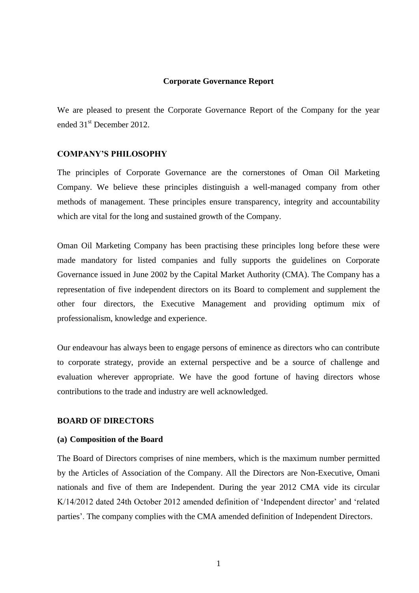#### **Corporate Governance Report**

We are pleased to present the Corporate Governance Report of the Company for the year ended 31<sup>st</sup> December 2012.

#### **COMPANY'S PHILOSOPHY**

The principles of Corporate Governance are the cornerstones of Oman Oil Marketing Company. We believe these principles distinguish a well-managed company from other methods of management. These principles ensure transparency, integrity and accountability which are vital for the long and sustained growth of the Company.

Oman Oil Marketing Company has been practising these principles long before these were made mandatory for listed companies and fully supports the guidelines on Corporate Governance issued in June 2002 by the Capital Market Authority (CMA). The Company has a representation of five independent directors on its Board to complement and supplement the other four directors, the Executive Management and providing optimum mix of professionalism, knowledge and experience.

Our endeavour has always been to engage persons of eminence as directors who can contribute to corporate strategy, provide an external perspective and be a source of challenge and evaluation wherever appropriate. We have the good fortune of having directors whose contributions to the trade and industry are well acknowledged.

#### **BOARD OF DIRECTORS**

#### **(a) Composition of the Board**

The Board of Directors comprises of nine members, which is the maximum number permitted by the Articles of Association of the Company. All the Directors are Non-Executive, Omani nationals and five of them are Independent. During the year 2012 CMA vide its circular K/14/2012 dated 24th October 2012 amended definition of 'Independent director' and 'related parties'. The company complies with the CMA amended definition of Independent Directors.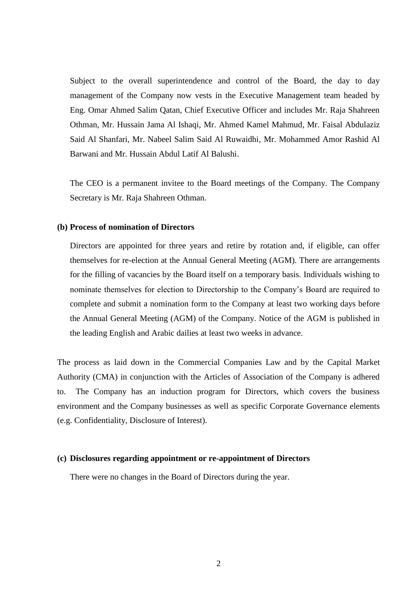Subject to the overall superintendence and control of the Board, the day to day management of the Company now vests in the Executive Management team headed by Eng. Omar Ahmed Salim Qatan, Chief Executive Officer and includes Mr. Raja Shahreen Othman, Mr. Hussain Jama Al Ishaqi, Mr. Ahmed Kamel Mahmud, Mr. Faisal Abdulaziz Said Al Shanfari, Mr. Nabeel Salim Said Al Ruwaidhi, Mr. Mohammed Amor Rashid Al Barwani and Mr. Hussain Abdul Latif Al Balushi.

The CEO is a permanent invitee to the Board meetings of the Company. The Company Secretary is Mr. Raja Shahreen Othman.

#### **(b) Process of nomination of Directors**

Directors are appointed for three years and retire by rotation and, if eligible, can offer themselves for re-election at the Annual General Meeting (AGM). There are arrangements for the filling of vacancies by the Board itself on a temporary basis. Individuals wishing to nominate themselves for election to Directorship to the Company's Board are required to complete and submit a nomination form to the Company at least two working days before the Annual General Meeting (AGM) of the Company. Notice of the AGM is published in the leading English and Arabic dailies at least two weeks in advance.

The process as laid down in the Commercial Companies Law and by the Capital Market Authority (CMA) in conjunction with the Articles of Association of the Company is adhered to. The Company has an induction program for Directors, which covers the business environment and the Company businesses as well as specific Corporate Governance elements (e.g. Confidentiality, Disclosure of Interest).

#### **(c) Disclosures regarding appointment or re-appointment of Directors**

There were no changes in the Board of Directors during the year.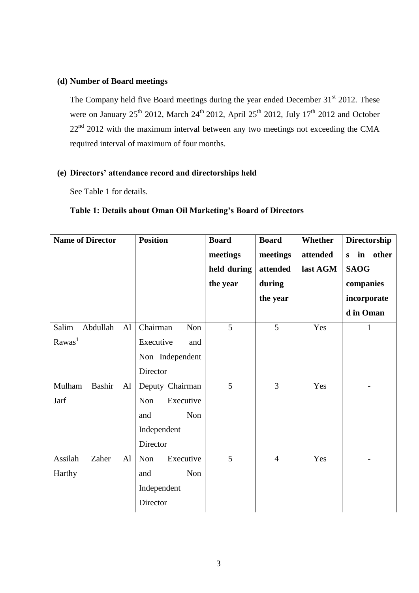### **(d) Number of Board meetings**

The Company held five Board meetings during the year ended December 31<sup>st</sup> 2012. These were on January 25<sup>th</sup> 2012, March 24<sup>th</sup> 2012, April 25<sup>th</sup> 2012, July 17<sup>th</sup> 2012 and October  $22<sup>nd</sup>$  2012 with the maximum interval between any two meetings not exceeding the CMA required interval of maximum of four months.

### **(e) Directors' attendance record and directorships held**

See Table 1 for details.

### **Table 1: Details about Oman Oil Marketing's Board of Directors**

| <b>Name of Director</b> | <b>Position</b>  | <b>Board</b>   | <b>Board</b>   | Whether  | Directorship  |
|-------------------------|------------------|----------------|----------------|----------|---------------|
|                         |                  | meetings       | meetings       | attended | in other<br>S |
|                         |                  | held during    | attended       | last AGM | <b>SAOG</b>   |
|                         |                  | the year       | during         |          | companies     |
|                         |                  |                | the year       |          | incorporate   |
|                         |                  |                |                |          | d in Oman     |
| Salim<br>Abdullah<br>AI | Chairman<br>Non  | $\overline{5}$ | $\overline{5}$ | Yes      |               |
| Rawas <sup>1</sup>      | Executive<br>and |                |                |          |               |
|                         | Non Independent  |                |                |          |               |
|                         | Director         |                |                |          |               |
| Mulham<br>Bashir<br>Al  | Deputy Chairman  | 5              | 3              | Yes      |               |
| Jarf                    | Non<br>Executive |                |                |          |               |
|                         | Non<br>and       |                |                |          |               |
|                         | Independent      |                |                |          |               |
|                         | Director         |                |                |          |               |
| Assilah<br>Zaher<br>Al  | Non<br>Executive | 5              | $\overline{4}$ | Yes      |               |
| Harthy                  | Non<br>and       |                |                |          |               |
|                         | Independent      |                |                |          |               |
|                         | Director         |                |                |          |               |
|                         |                  |                |                |          |               |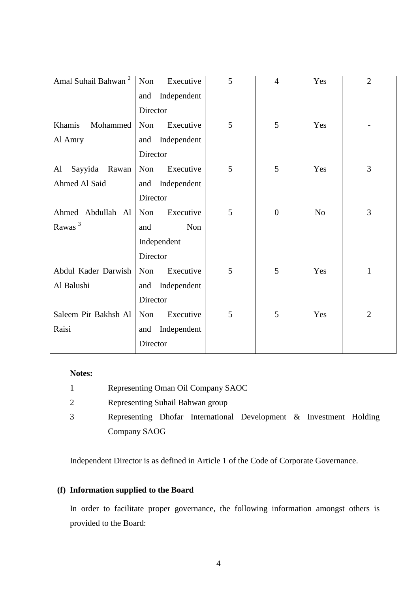| Amal Suhail Bahwan <sup>2</sup> | Non<br>Executive   | 5 | $\overline{4}$ | Yes            | $\overline{2}$ |
|---------------------------------|--------------------|---|----------------|----------------|----------------|
|                                 | Independent<br>and |   |                |                |                |
|                                 | Director           |   |                |                |                |
| Khamis<br>Mohammed              | Executive<br>Non   | 5 | 5              | Yes            |                |
| Al Amry                         | Independent<br>and |   |                |                |                |
|                                 | Director           |   |                |                |                |
| Sayyida<br>Rawan<br>Al          | Executive<br>Non   | 5 | 5              | Yes            | 3              |
| Ahmed Al Said                   | Independent<br>and |   |                |                |                |
|                                 | Director           |   |                |                |                |
| Ahmed Abdullah Al               | Non<br>Executive   | 5 | $\overline{0}$ | N <sub>o</sub> | 3              |
| Rawas <sup>3</sup>              | Non<br>and         |   |                |                |                |
|                                 | Independent        |   |                |                |                |
|                                 | Director           |   |                |                |                |
| Abdul Kader Darwish             | Executive<br>Non   | 5 | 5              | Yes            | $\mathbf{1}$   |
| Al Balushi                      | Independent<br>and |   |                |                |                |
|                                 | Director           |   |                |                |                |
| Saleem Pir Bakhsh Al            | Executive<br>Non   | 5 | 5              | Yes            | $\overline{2}$ |
| Raisi                           | Independent<br>and |   |                |                |                |
|                                 | Director           |   |                |                |                |

### **Notes:**

| Representing Oman Oil Company SAOC                                 |  |  |  |  |
|--------------------------------------------------------------------|--|--|--|--|
| Representing Suhail Bahwan group                                   |  |  |  |  |
| Representing Dhofar International Development & Investment Holding |  |  |  |  |
| Company SAOG                                                       |  |  |  |  |

Independent Director is as defined in Article 1 of the Code of Corporate Governance.

# **(f) Information supplied to the Board**

In order to facilitate proper governance, the following information amongst others is provided to the Board: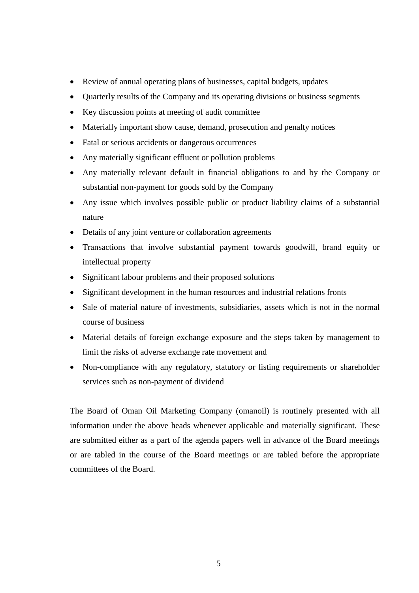- Review of annual operating plans of businesses, capital budgets, updates
- Quarterly results of the Company and its operating divisions or business segments
- Key discussion points at meeting of audit committee
- Materially important show cause, demand, prosecution and penalty notices
- Fatal or serious accidents or dangerous occurrences
- Any materially significant effluent or pollution problems
- Any materially relevant default in financial obligations to and by the Company or substantial non-payment for goods sold by the Company
- Any issue which involves possible public or product liability claims of a substantial nature
- Details of any joint venture or collaboration agreements
- Transactions that involve substantial payment towards goodwill, brand equity or intellectual property
- Significant labour problems and their proposed solutions
- Significant development in the human resources and industrial relations fronts
- Sale of material nature of investments, subsidiaries, assets which is not in the normal course of business
- Material details of foreign exchange exposure and the steps taken by management to limit the risks of adverse exchange rate movement and
- Non-compliance with any regulatory, statutory or listing requirements or shareholder services such as non-payment of dividend

The Board of Oman Oil Marketing Company (omanoil) is routinely presented with all information under the above heads whenever applicable and materially significant. These are submitted either as a part of the agenda papers well in advance of the Board meetings or are tabled in the course of the Board meetings or are tabled before the appropriate committees of the Board.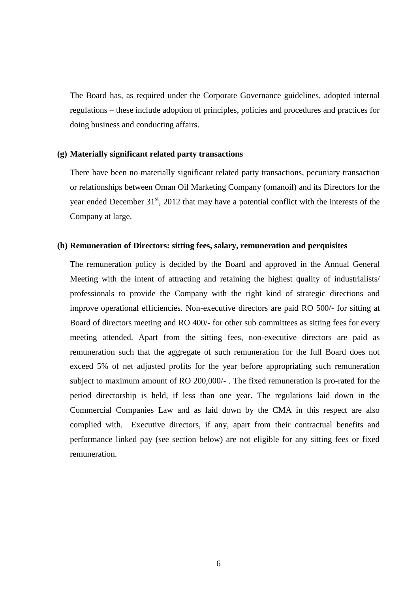The Board has, as required under the Corporate Governance guidelines, adopted internal regulations – these include adoption of principles, policies and procedures and practices for doing business and conducting affairs.

#### **(g) Materially significant related party transactions**

There have been no materially significant related party transactions, pecuniary transaction or relationships between Oman Oil Marketing Company (omanoil) and its Directors for the year ended December  $31<sup>st</sup>$ , 2012 that may have a potential conflict with the interests of the Company at large.

#### **(h) Remuneration of Directors: sitting fees, salary, remuneration and perquisites**

The remuneration policy is decided by the Board and approved in the Annual General Meeting with the intent of attracting and retaining the highest quality of industrialists/ professionals to provide the Company with the right kind of strategic directions and improve operational efficiencies. Non-executive directors are paid RO 500/- for sitting at Board of directors meeting and RO 400/- for other sub committees as sitting fees for every meeting attended. Apart from the sitting fees, non-executive directors are paid as remuneration such that the aggregate of such remuneration for the full Board does not exceed 5% of net adjusted profits for the year before appropriating such remuneration subject to maximum amount of RO 200,000/- . The fixed remuneration is pro-rated for the period directorship is held, if less than one year. The regulations laid down in the Commercial Companies Law and as laid down by the CMA in this respect are also complied with. Executive directors, if any, apart from their contractual benefits and performance linked pay (see section below) are not eligible for any sitting fees or fixed remuneration.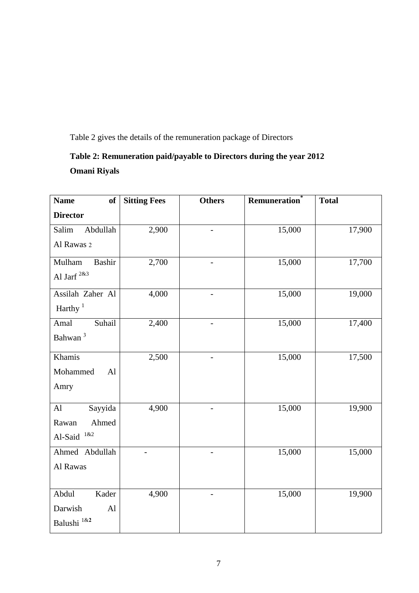Table 2 gives the details of the remuneration package of Directors

# **Table 2: Remuneration paid/payable to Directors during the year 2012 Omani Riyals**

| <b>Name</b><br>of          | <b>Sitting Fees</b> | <b>Others</b>            | <b>Remuneration</b> | <b>Total</b> |
|----------------------------|---------------------|--------------------------|---------------------|--------------|
| <b>Director</b>            |                     |                          |                     |              |
| Abdullah<br>Salim          | 2,900               |                          | 15,000              | 17,900       |
| Al Rawas 2                 |                     |                          |                     |              |
| Bashir<br>Mulham           | 2,700               |                          | 15,000              | 17,700       |
| Al Jarf <sup>2&amp;3</sup> |                     |                          |                     |              |
| Assilah Zaher Al           | 4,000               |                          | 15,000              | 19,000       |
| Harthy $1$                 |                     |                          |                     |              |
| Suhail<br>Amal             | 2,400               | $\overline{\phantom{0}}$ | 15,000              | 17,400       |
| Bahwan <sup>3</sup>        |                     |                          |                     |              |
| Khamis                     | 2,500               |                          | 15,000              | 17,500       |
| Mohammed<br>AI             |                     |                          |                     |              |
| Amry                       |                     |                          |                     |              |
| Sayyida<br>AI              | 4,900               |                          | 15,000              | 19,900       |
| Ahmed<br>Rawan             |                     |                          |                     |              |
| $1\&2$<br>Al-Said          |                     |                          |                     |              |
| Ahmed Abdullah             |                     |                          | 15,000              | 15,000       |
| Al Rawas                   |                     |                          |                     |              |
|                            |                     |                          |                     |              |
| Abdul<br>Kader             | 4,900               |                          | 15,000              | 19,900       |
| Darwish<br>AI              |                     |                          |                     |              |
| Balushi 1&2                |                     |                          |                     |              |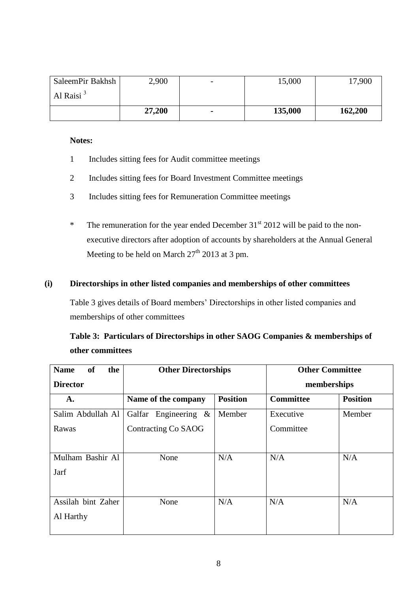| SaleemPir Bakhsh | 2,900  | - | 15,000  | 17,900  |
|------------------|--------|---|---------|---------|
| Al Raisi $3$     |        |   |         |         |
|                  | 27,200 | ۰ | 135,000 | 162,200 |

#### **Notes:**

- 1 Includes sitting fees for Audit committee meetings
- 2 Includes sitting fees for Board Investment Committee meetings
- 3 Includes sitting fees for Remuneration Committee meetings
- \* The remuneration for the year ended December  $31<sup>st</sup>$  2012 will be paid to the nonexecutive directors after adoption of accounts by shareholders at the Annual General Meeting to be held on March  $27<sup>th</sup>$  2013 at 3 pm.

### **(i) Directorships in other listed companies and memberships of other committees**

Table 3 gives details of Board members' Directorships in other listed companies and memberships of other committees

|                  | Table 3: Particulars of Directorships in other SAOG Companies & memberships of |
|------------------|--------------------------------------------------------------------------------|
| other committees |                                                                                |

| <b>Name</b><br><b>of</b><br>the | <b>Other Directorships</b> |                 | <b>Other Committee</b> |                 |
|---------------------------------|----------------------------|-----------------|------------------------|-----------------|
| <b>Director</b>                 |                            |                 | memberships            |                 |
| A.                              | Name of the company        | <b>Position</b> | <b>Committee</b>       | <b>Position</b> |
| Salim Abdullah Al               | Galfar<br>Engineering $\&$ | Member          | Executive              | Member          |
| Rawas                           | Contracting Co SAOG        |                 | Committee              |                 |
|                                 |                            |                 |                        |                 |
| Mulham Bashir Al                | None                       | N/A             | N/A                    | N/A             |
| Jarf                            |                            |                 |                        |                 |
|                                 |                            |                 |                        |                 |
| Assilah bint Zaher              | None                       | N/A             | N/A                    | N/A             |
| Al Harthy                       |                            |                 |                        |                 |
|                                 |                            |                 |                        |                 |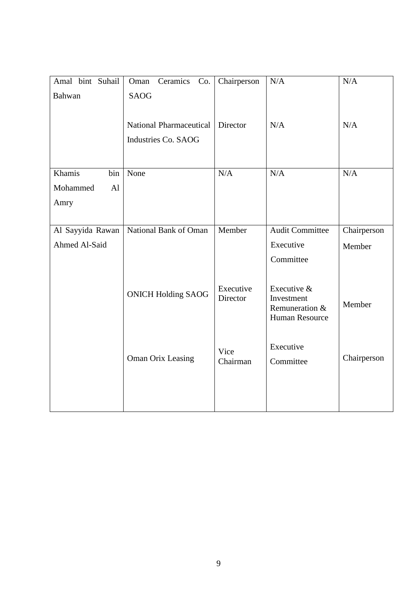| Amal bint Suhail | Ceramics<br>Co.<br>Oman        | Chairperson | N/A                              | N/A         |
|------------------|--------------------------------|-------------|----------------------------------|-------------|
| Bahwan           | <b>SAOG</b>                    |             |                                  |             |
|                  |                                |             |                                  |             |
|                  | <b>National Pharmaceutical</b> | Director    | N/A                              | N/A         |
|                  | Industries Co. SAOG            |             |                                  |             |
|                  |                                |             |                                  |             |
| Khamis<br>bin    | None                           | N/A         | N/A                              | N/A         |
|                  |                                |             |                                  |             |
| Mohammed<br>AI   |                                |             |                                  |             |
| Amry             |                                |             |                                  |             |
|                  |                                |             |                                  |             |
| Al Sayyida Rawan | National Bank of Oman          | Member      | <b>Audit Committee</b>           | Chairperson |
| Ahmed Al-Said    |                                |             | Executive                        | Member      |
|                  |                                |             | Committee                        |             |
|                  |                                |             |                                  |             |
|                  |                                | Executive   | Executive &                      |             |
|                  | <b>ONICH Holding SAOG</b>      | Director    | Investment                       | Member      |
|                  |                                |             | Remuneration &<br>Human Resource |             |
|                  |                                |             |                                  |             |
|                  |                                |             |                                  |             |
|                  | <b>Oman Orix Leasing</b>       | Vice        | Executive                        | Chairperson |
|                  |                                | Chairman    | Committee                        |             |
|                  |                                |             |                                  |             |
|                  |                                |             |                                  |             |
|                  |                                |             |                                  |             |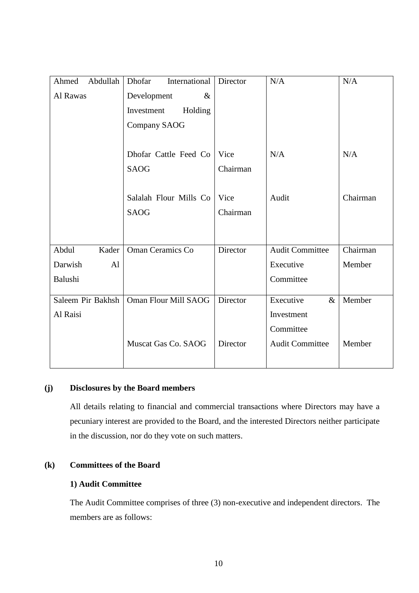| Abdullah<br>Ahmed | International<br>Dhofar | Director | N/A                    | N/A      |
|-------------------|-------------------------|----------|------------------------|----------|
| Al Rawas          | Development<br>&        |          |                        |          |
|                   | Investment<br>Holding   |          |                        |          |
|                   | <b>Company SAOG</b>     |          |                        |          |
|                   |                         |          |                        |          |
|                   | Dhofar Cattle Feed Co   | Vice     | N/A                    | N/A      |
|                   | <b>SAOG</b>             | Chairman |                        |          |
|                   |                         |          |                        |          |
|                   | Salalah Flour Mills Co  | Vice     | Audit                  | Chairman |
|                   | <b>SAOG</b>             | Chairman |                        |          |
|                   |                         |          |                        |          |
|                   |                         |          |                        |          |
| Abdul<br>Kader    | <b>Oman Ceramics Co</b> | Director | <b>Audit Committee</b> | Chairman |
| Darwish<br>AI     |                         |          | Executive              | Member   |
| Balushi           |                         |          | Committee              |          |
| Saleem Pir Bakhsh | Oman Flour Mill SAOG    | Director | Executive<br>$\&$      | Member   |
|                   |                         |          |                        |          |
| Al Raisi          |                         |          | Investment             |          |
|                   |                         |          | Committee              |          |
|                   | Muscat Gas Co. SAOG     | Director | <b>Audit Committee</b> | Member   |
|                   |                         |          |                        |          |

### **(j) Disclosures by the Board members**

All details relating to financial and commercial transactions where Directors may have a pecuniary interest are provided to the Board, and the interested Directors neither participate in the discussion, nor do they vote on such matters.

### **(k) Committees of the Board**

### **1) Audit Committee**

The Audit Committee comprises of three (3) non-executive and independent directors. The members are as follows: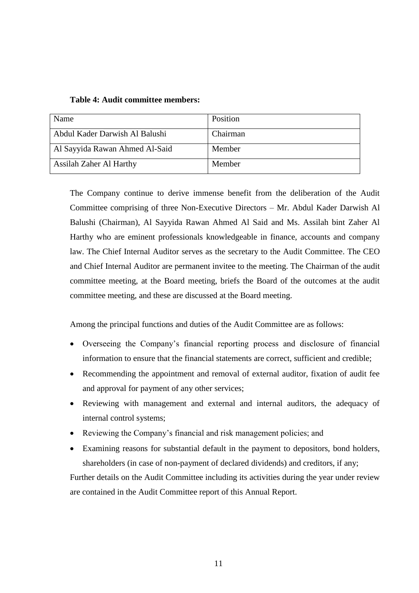| Name                           | Position |
|--------------------------------|----------|
| Abdul Kader Darwish Al Balushi | Chairman |
| Al Sayyida Rawan Ahmed Al-Said | Member   |
| <b>Assilah Zaher Al Harthy</b> | Member   |

The Company continue to derive immense benefit from the deliberation of the Audit Committee comprising of three Non-Executive Directors – Mr. Abdul Kader Darwish Al Balushi (Chairman), Al Sayyida Rawan Ahmed Al Said and Ms. Assilah bint Zaher Al Harthy who are eminent professionals knowledgeable in finance, accounts and company law. The Chief Internal Auditor serves as the secretary to the Audit Committee. The CEO and Chief Internal Auditor are permanent invitee to the meeting. The Chairman of the audit committee meeting, at the Board meeting, briefs the Board of the outcomes at the audit committee meeting, and these are discussed at the Board meeting.

Among the principal functions and duties of the Audit Committee are as follows:

- Overseeing the Company's financial reporting process and disclosure of financial information to ensure that the financial statements are correct, sufficient and credible;
- Recommending the appointment and removal of external auditor, fixation of audit fee and approval for payment of any other services;
- Reviewing with management and external and internal auditors, the adequacy of internal control systems;
- Reviewing the Company's financial and risk management policies; and
- Examining reasons for substantial default in the payment to depositors, bond holders, shareholders (in case of non-payment of declared dividends) and creditors, if any;

Further details on the Audit Committee including its activities during the year under review are contained in the Audit Committee report of this Annual Report.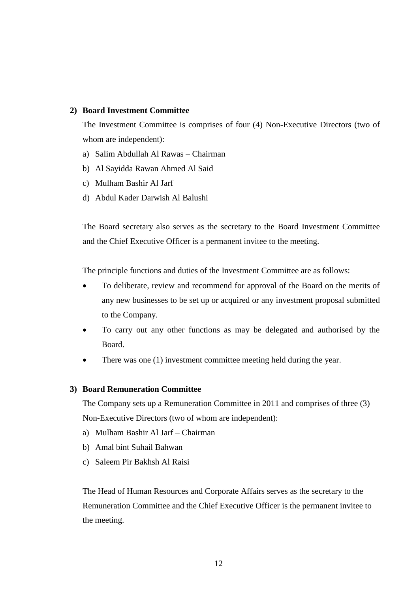#### **2) Board Investment Committee**

The Investment Committee is comprises of four (4) Non-Executive Directors (two of whom are independent):

- a) Salim Abdullah Al Rawas Chairman
- b) Al Sayidda Rawan Ahmed Al Said
- c) Mulham Bashir Al Jarf
- d) Abdul Kader Darwish Al Balushi

The Board secretary also serves as the secretary to the Board Investment Committee and the Chief Executive Officer is a permanent invitee to the meeting.

The principle functions and duties of the Investment Committee are as follows:

- To deliberate, review and recommend for approval of the Board on the merits of any new businesses to be set up or acquired or any investment proposal submitted to the Company.
- To carry out any other functions as may be delegated and authorised by the Board.
- There was one (1) investment committee meeting held during the year.

#### **3) Board Remuneration Committee**

The Company sets up a Remuneration Committee in 2011 and comprises of three (3) Non-Executive Directors (two of whom are independent):

- a) Mulham Bashir Al Jarf Chairman
- b) Amal bint Suhail Bahwan
- c) Saleem Pir Bakhsh Al Raisi

The Head of Human Resources and Corporate Affairs serves as the secretary to the Remuneration Committee and the Chief Executive Officer is the permanent invitee to the meeting.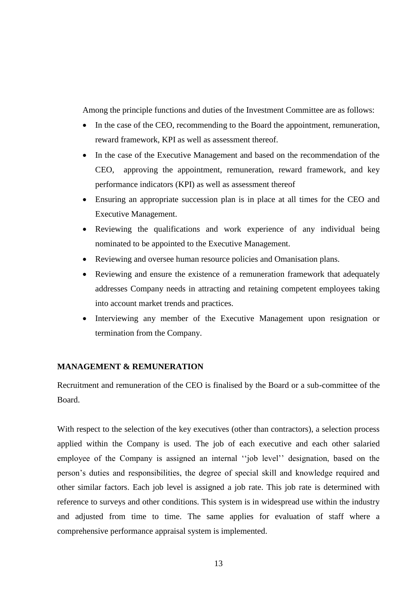Among the principle functions and duties of the Investment Committee are as follows:

- In the case of the CEO, recommending to the Board the appointment, remuneration, reward framework, KPI as well as assessment thereof.
- In the case of the Executive Management and based on the recommendation of the CEO, approving the appointment, remuneration, reward framework, and key performance indicators (KPI) as well as assessment thereof
- Ensuring an appropriate succession plan is in place at all times for the CEO and Executive Management.
- Reviewing the qualifications and work experience of any individual being nominated to be appointed to the Executive Management.
- Reviewing and oversee human resource policies and Omanisation plans.
- Reviewing and ensure the existence of a remuneration framework that adequately addresses Company needs in attracting and retaining competent employees taking into account market trends and practices.
- Interviewing any member of the Executive Management upon resignation or termination from the Company.

### **MANAGEMENT & REMUNERATION**

Recruitment and remuneration of the CEO is finalised by the Board or a sub-committee of the Board.

With respect to the selection of the key executives (other than contractors), a selection process applied within the Company is used. The job of each executive and each other salaried employee of the Company is assigned an internal ''job level'' designation, based on the person's duties and responsibilities, the degree of special skill and knowledge required and other similar factors. Each job level is assigned a job rate. This job rate is determined with reference to surveys and other conditions. This system is in widespread use within the industry and adjusted from time to time. The same applies for evaluation of staff where a comprehensive performance appraisal system is implemented.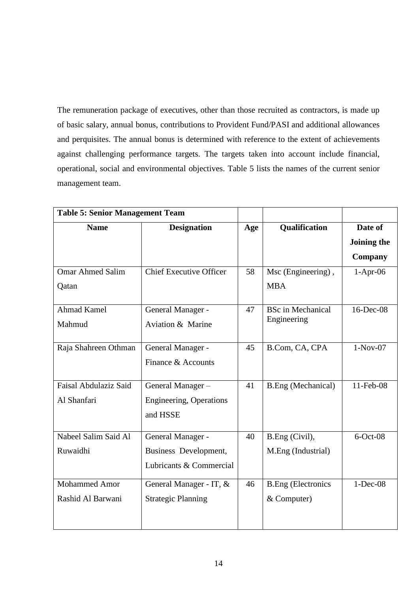The remuneration package of executives, other than those recruited as contractors, is made up of basic salary, annual bonus, contributions to Provident Fund/PASI and additional allowances and perquisites. The annual bonus is determined with reference to the extent of achievements against challenging performance targets. The targets taken into account include financial, operational, social and environmental objectives. Table 5 lists the names of the current senior management team.

| <b>Table 5: Senior Management Team</b> |                                                   |     |                                         |             |
|----------------------------------------|---------------------------------------------------|-----|-----------------------------------------|-------------|
| <b>Name</b><br><b>Designation</b>      |                                                   | Age | Qualification                           | Date of     |
|                                        |                                                   |     |                                         | Joining the |
|                                        |                                                   |     |                                         | Company     |
| <b>Omar Ahmed Salim</b>                | <b>Chief Executive Officer</b>                    | 58  | Msc (Engineering),                      | $1-Apr-06$  |
| Qatan                                  |                                                   |     | <b>MBA</b>                              |             |
| <b>Ahmad Kamel</b><br>Mahmud           | General Manager -<br><b>Aviation &amp; Marine</b> | 47  | <b>BSc</b> in Mechanical<br>Engineering | 16-Dec-08   |
| Raja Shahreen Othman                   | General Manager -<br>Finance & Accounts           | 45  | B.Com, CA, CPA                          | $1-Nov-07$  |
| Faisal Abdulaziz Said                  | General Manager-                                  | 41  | <b>B.Eng</b> (Mechanical)               | 11-Feb-08   |
| Al Shanfari                            | <b>Engineering, Operations</b><br>and HSSE        |     |                                         |             |
| Nabeel Salim Said Al                   | General Manager -                                 | 40  | B.Eng (Civil),                          | $6$ -Oct-08 |
| Ruwaidhi                               | Business Development,                             |     | M.Eng (Industrial)                      |             |
|                                        | Lubricants & Commercial                           |     |                                         |             |
| <b>Mohammed Amor</b>                   | General Manager - IT, &                           | 46  | <b>B.Eng</b> (Electronics               | $1-Dec-08$  |
| Rashid Al Barwani                      | <b>Strategic Planning</b>                         |     | & Computer)                             |             |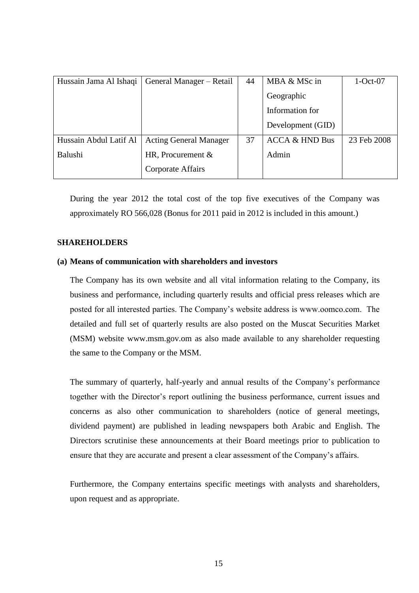| Hussain Jama Al Ishaqi | General Manager - Retail      | 44 | $MBA & MSc$ in            | $1-Oct-07$  |
|------------------------|-------------------------------|----|---------------------------|-------------|
|                        |                               |    | Geographic                |             |
|                        |                               |    | Information for           |             |
|                        |                               |    | Development (GID)         |             |
| Hussain Abdul Latif Al | <b>Acting General Manager</b> | 37 | <b>ACCA &amp; HND Bus</b> | 23 Feb 2008 |
| Balushi                | HR, Procurement $&$           |    | Admin                     |             |
|                        | Corporate Affairs             |    |                           |             |

During the year 2012 the total cost of the top five executives of the Company was approximately RO 566,028 (Bonus for 2011 paid in 2012 is included in this amount.)

### **SHAREHOLDERS**

### **(a) Means of communication with shareholders and investors**

The Company has its own website and all vital information relating to the Company, its business and performance, including quarterly results and official press releases which are posted for all interested parties. The Company's website address is www.oomco.com. The detailed and full set of quarterly results are also posted on the Muscat Securities Market (MSM) website www.msm.gov.om as also made available to any shareholder requesting the same to the Company or the MSM.

The summary of quarterly, half-yearly and annual results of the Company's performance together with the Director's report outlining the business performance, current issues and concerns as also other communication to shareholders (notice of general meetings, dividend payment) are published in leading newspapers both Arabic and English. The Directors scrutinise these announcements at their Board meetings prior to publication to ensure that they are accurate and present a clear assessment of the Company's affairs.

Furthermore, the Company entertains specific meetings with analysts and shareholders, upon request and as appropriate.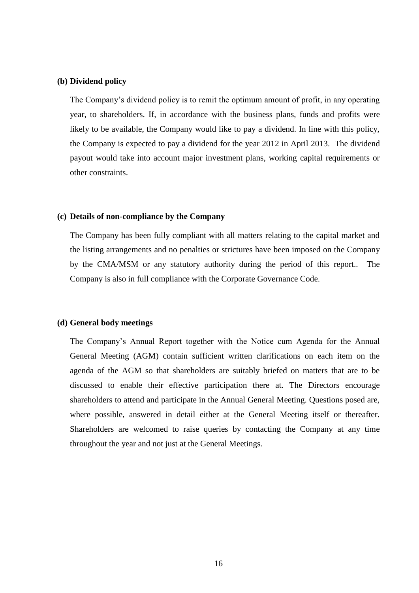#### **(b) Dividend policy**

The Company's dividend policy is to remit the optimum amount of profit, in any operating year, to shareholders. If, in accordance with the business plans, funds and profits were likely to be available, the Company would like to pay a dividend. In line with this policy, the Company is expected to pay a dividend for the year 2012 in April 2013. The dividend payout would take into account major investment plans, working capital requirements or other constraints.

#### **(c) Details of non-compliance by the Company**

The Company has been fully compliant with all matters relating to the capital market and the listing arrangements and no penalties or strictures have been imposed on the Company by the CMA/MSM or any statutory authority during the period of this report.. The Company is also in full compliance with the Corporate Governance Code.

#### **(d) General body meetings**

The Company's Annual Report together with the Notice cum Agenda for the Annual General Meeting (AGM) contain sufficient written clarifications on each item on the agenda of the AGM so that shareholders are suitably briefed on matters that are to be discussed to enable their effective participation there at. The Directors encourage shareholders to attend and participate in the Annual General Meeting. Questions posed are, where possible, answered in detail either at the General Meeting itself or thereafter. Shareholders are welcomed to raise queries by contacting the Company at any time throughout the year and not just at the General Meetings.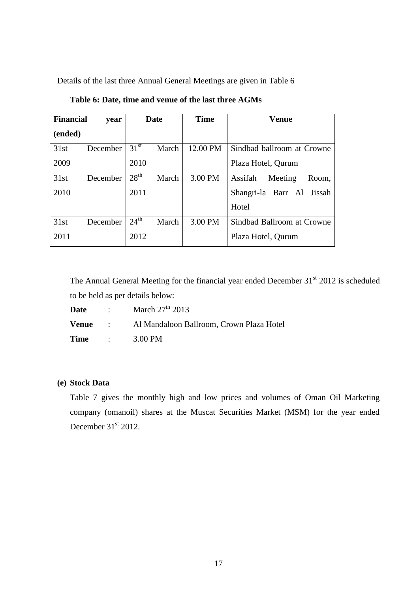Details of the last three Annual General Meetings are given in Table 6

| <b>Financial</b> | year     | Date             | <b>Time</b>       | Venue                       |
|------------------|----------|------------------|-------------------|-----------------------------|
| (ended)          |          |                  |                   |                             |
| 31st             | December | 31 <sup>st</sup> | 12.00 PM<br>March | Sindbad ballroom at Crowne  |
| 2009             |          | 2010             |                   | Plaza Hotel, Qurum          |
| 31st             | December | 28 <sup>th</sup> | March<br>3.00 PM  | Assifah<br>Meeting<br>Room, |
| 2010             |          | 2011             |                   | Shangri-la Barr Al Jissah   |
|                  |          |                  |                   | Hotel                       |
| 31st             | December | $24^{\text{th}}$ | March<br>3.00 PM  | Sindbad Ballroom at Crowne  |
| 2011             |          | 2012             |                   | Plaza Hotel, Qurum          |

**Table 6: Date, time and venue of the last three AGMs**

The Annual General Meeting for the financial year ended December  $31<sup>st</sup>$  2012 is scheduled to be held as per details below:

| <b>Date</b> | : March $27^{th}$ 2013                                  |
|-------------|---------------------------------------------------------|
|             | <b>Venue</b> : Al Mandaloon Ballroom, Crown Plaza Hotel |
|             | $Time \qquad : \qquad 3.00 \text{ PM}$                  |

### **(e) Stock Data**

Table 7 gives the monthly high and low prices and volumes of Oman Oil Marketing company (omanoil) shares at the Muscat Securities Market (MSM) for the year ended December  $31<sup>st</sup>$  2012.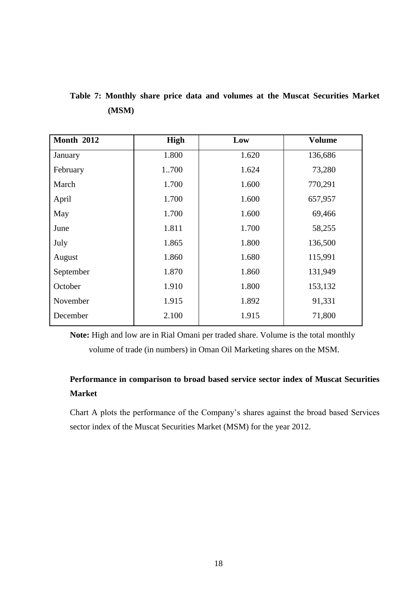| <b>Month 2012</b> | High  | Low   | <b>Volume</b> |
|-------------------|-------|-------|---------------|
| January           | 1.800 | 1.620 | 136,686       |
| February          | 1700  | 1.624 | 73,280        |
| March             | 1.700 | 1.600 | 770,291       |
| April             | 1.700 | 1.600 | 657,957       |
| May               | 1.700 | 1.600 | 69,466        |
| June              | 1.811 | 1.700 | 58,255        |
| July              | 1.865 | 1.800 | 136,500       |
| August            | 1.860 | 1.680 | 115,991       |
| September         | 1.870 | 1.860 | 131,949       |
| October           | 1.910 | 1.800 | 153,132       |
| November          | 1.915 | 1.892 | 91,331        |
| December          | 2.100 | 1.915 | 71,800        |

**Table 7: Monthly share price data and volumes at the Muscat Securities Market (MSM)** 

**Note:** High and low are in Rial Omani per traded share. Volume is the total monthly volume of trade (in numbers) in Oman Oil Marketing shares on the MSM.

## **Performance in comparison to broad based service sector index of Muscat Securities Market**

Chart A plots the performance of the Company's shares against the broad based Services sector index of the Muscat Securities Market (MSM) for the year 2012.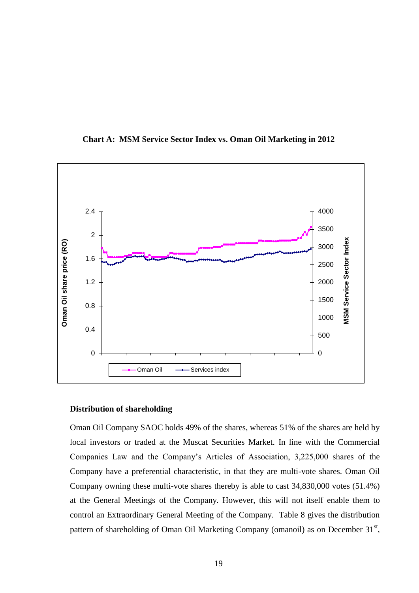

**Chart A: MSM Service Sector Index vs. Oman Oil Marketing in 2012**

#### **Distribution of shareholding**

Oman Oil Company SAOC holds 49% of the shares, whereas 51% of the shares are held by local investors or traded at the Muscat Securities Market. In line with the Commercial Companies Law and the Company's Articles of Association, 3,225,000 shares of the Company have a preferential characteristic, in that they are multi-vote shares. Oman Oil Company owning these multi-vote shares thereby is able to cast 34,830,000 votes (51.4%) at the General Meetings of the Company. However, this will not itself enable them to control an Extraordinary General Meeting of the Company. Table 8 gives the distribution pattern of shareholding of Oman Oil Marketing Company (omanoil) as on December 31<sup>st</sup>,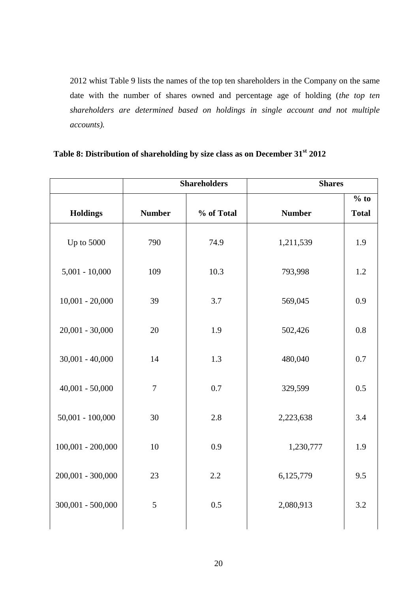2012 whist Table 9 lists the names of the top ten shareholders in the Company on the same date with the number of shares owned and percentage age of holding (*the top ten shareholders are determined based on holdings in single account and not multiple accounts).*

| Table 8: Distribution of shareholding by size class as on December 31 <sup>st</sup> 2012 |  |  |  |
|------------------------------------------------------------------------------------------|--|--|--|
|                                                                                          |  |  |  |

|                     |               | <b>Shareholders</b> | <b>Shares</b> |                        |
|---------------------|---------------|---------------------|---------------|------------------------|
| <b>Holdings</b>     | <b>Number</b> | % of Total          | <b>Number</b> | $%$ to<br><b>Total</b> |
| Up to 5000          | 790           | 74.9                | 1,211,539     | 1.9                    |
| $5,001 - 10,000$    | 109           | 10.3                | 793,998       | 1.2                    |
| $10,001 - 20,000$   | 39            | 3.7                 | 569,045       | 0.9                    |
| $20,001 - 30,000$   | 20            | 1.9                 | 502,426       | 0.8                    |
| $30,001 - 40,000$   | 14            | 1.3                 | 480,040       | 0.7                    |
| $40,001 - 50,000$   | $\tau$        | 0.7                 | 329,599       | 0.5                    |
| $50,001 - 100,000$  | 30            | 2.8                 | 2,223,638     | 3.4                    |
| $100,001 - 200,000$ | 10            | 0.9                 | 1,230,777     | 1.9                    |
| $200,001 - 300,000$ | 23            | 2.2                 | 6,125,779     | 9.5                    |
| $300,001 - 500,000$ | 5             | 0.5                 | 2,080,913     | 3.2                    |
|                     |               |                     |               |                        |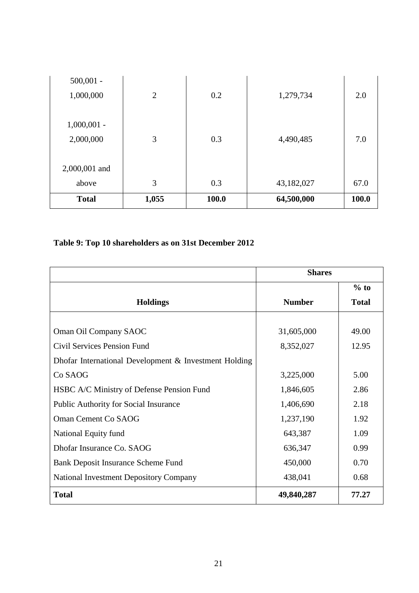| <b>Total</b>             | 1,055          | 100.0 | 64,500,000 | 100.0 |
|--------------------------|----------------|-------|------------|-------|
| above                    | 3              | 0.3   | 43,182,027 | 67.0  |
| 2,000,001 and            |                |       |            |       |
| 2,000,000                | 3              | 0.3   | 4,490,485  | 7.0   |
| $1,000,001 -$            |                |       |            |       |
| $500,001 -$<br>1,000,000 | $\overline{2}$ | 0.2   | 1,279,734  | 2.0   |

### **Table 9: Top 10 shareholders as on 31st December 2012**

|                                                       | <b>Shares</b> |              |
|-------------------------------------------------------|---------------|--------------|
|                                                       |               | $%$ to       |
| <b>Holdings</b>                                       | <b>Number</b> | <b>Total</b> |
|                                                       |               |              |
| Oman Oil Company SAOC                                 | 31,605,000    | 49.00        |
| Civil Services Pension Fund                           | 8,352,027     | 12.95        |
| Dhofar International Development & Investment Holding |               |              |
| Co SAOG                                               | 3,225,000     | 5.00         |
| HSBC A/C Ministry of Defense Pension Fund             | 1,846,605     | 2.86         |
| <b>Public Authority for Social Insurance</b>          | 1,406,690     | 2.18         |
| Oman Cement Co SAOG                                   | 1,237,190     | 1.92         |
| National Equity fund                                  | 643,387       | 1.09         |
| Dhofar Insurance Co. SAOG                             | 636,347       | 0.99         |
| Bank Deposit Insurance Scheme Fund                    | 450,000       | 0.70         |
| <b>National Investment Depository Company</b>         | 438,041       | 0.68         |
| <b>Total</b>                                          | 49,840,287    | 77.27        |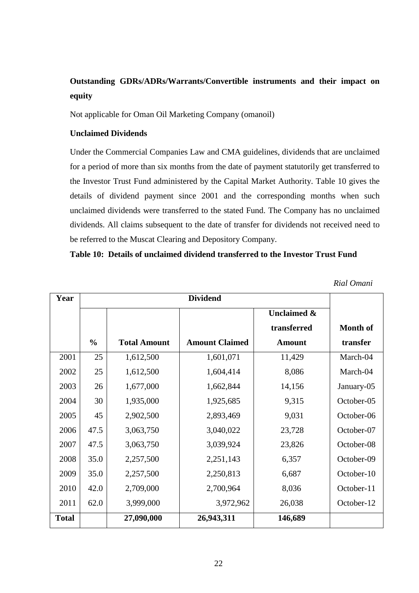## **Outstanding GDRs/ADRs/Warrants/Convertible instruments and their impact on equity**

Not applicable for Oman Oil Marketing Company (omanoil)

### **Unclaimed Dividends**

Under the Commercial Companies Law and CMA guidelines, dividends that are unclaimed for a period of more than six months from the date of payment statutorily get transferred to the Investor Trust Fund administered by the Capital Market Authority. Table 10 gives the details of dividend payment since 2001 and the corresponding months when such unclaimed dividends were transferred to the stated Fund. The Company has no unclaimed dividends. All claims subsequent to the date of transfer for dividends not received need to be referred to the Muscat Clearing and Depository Company.

### **Table 10: Details of unclaimed dividend transferred to the Investor Trust Fund**

| Year         |               |                     |                       |                        |                 |
|--------------|---------------|---------------------|-----------------------|------------------------|-----------------|
|              |               |                     |                       | <b>Unclaimed &amp;</b> |                 |
|              |               |                     |                       | transferred            | <b>Month of</b> |
|              | $\frac{0}{0}$ | <b>Total Amount</b> | <b>Amount Claimed</b> | <b>Amount</b>          | transfer        |
| 2001         | 25            | 1,612,500           | 1,601,071             | 11,429                 | March-04        |
| 2002         | 25            | 1,612,500           | 1,604,414             | 8,086                  | March-04        |
| 2003         | 26            | 1,677,000           | 1,662,844             | 14,156                 | January-05      |
| 2004         | 30            | 1,935,000           | 1,925,685             | 9,315                  | October-05      |
| 2005         | 45            | 2,902,500           | 2,893,469             | 9,031                  | October-06      |
| 2006         | 47.5          | 3,063,750           | 3,040,022             | 23,728                 | October-07      |
| 2007         | 47.5          | 3,063,750           | 3,039,924             | 23,826                 | October-08      |
| 2008         | 35.0          | 2,257,500           | 2,251,143             | 6,357                  | October-09      |
| 2009         | 35.0          | 2,257,500           | 2,250,813             | 6,687                  | October-10      |
| 2010         | 42.0          | 2,709,000           | 2,700,964             | 8,036                  | October-11      |
| 2011         | 62.0          | 3,999,000           | 3,972,962             | 26,038                 | October-12      |
| <b>Total</b> |               | 27,090,000          | 26,943,311            | 146,689                |                 |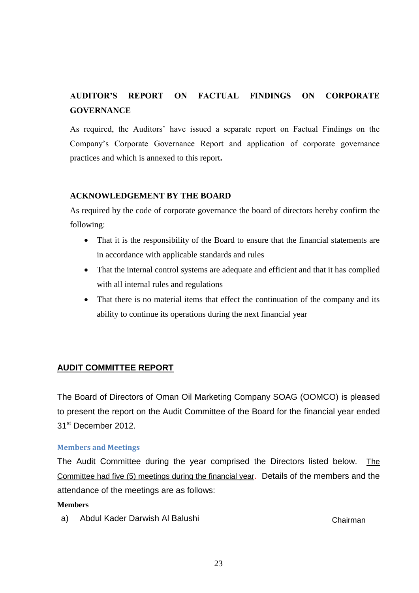# **AUDITOR'S REPORT ON FACTUAL FINDINGS ON CORPORATE GOVERNANCE**

As required, the Auditors' have issued a separate report on Factual Findings on the Company's Corporate Governance Report and application of corporate governance practices and which is annexed to this report**.**

### **ACKNOWLEDGEMENT BY THE BOARD**

As required by the code of corporate governance the board of directors hereby confirm the following:

- That it is the responsibility of the Board to ensure that the financial statements are in accordance with applicable standards and rules
- That the internal control systems are adequate and efficient and that it has complied with all internal rules and regulations
- That there is no material items that effect the continuation of the company and its ability to continue its operations during the next financial year

### **AUDIT COMMITTEE REPORT**

The Board of Directors of Oman Oil Marketing Company SOAG (OOMCO) is pleased to present the report on the Audit Committee of the Board for the financial year ended 31st December 2012.

#### **Members and Meetings**

The Audit Committee during the year comprised the Directors listed below. The Committee had five (5) meetings during the financial year. Details of the members and the attendance of the meetings are as follows:

#### **Members**

a) Abdul Kader Darwish Al Balushi Chairman Chairman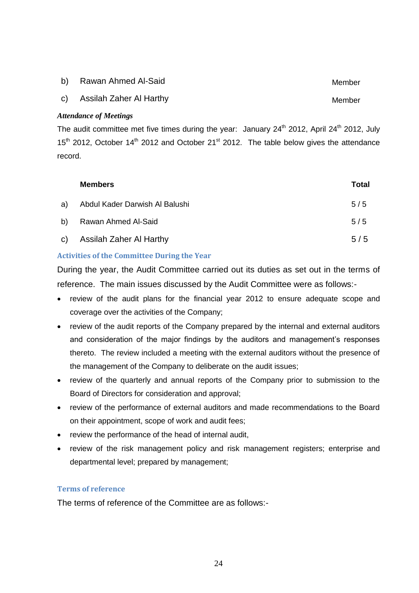- b) Rawan Ahmed Al-Said Member
- c) Assilah Zaher Al Harthy **Member** Member

#### *Attendance of Meetings*

The audit committee met five times during the year: January  $24<sup>th</sup>$  2012, April 24<sup>th</sup> 2012, July  $15<sup>th</sup>$  2012, October 14<sup>th</sup> 2012 and October 21<sup>st</sup> 2012. The table below gives the attendance record.

| <b>Members</b>                    | Total |
|-----------------------------------|-------|
| a) Abdul Kader Darwish Al Balushi | 5/5   |
| b) Rawan Ahmed Al-Said            | 5/5   |
| c) Assilah Zaher Al Harthy        | 5/5   |

### **Activities of the Committee During the Year**

During the year, the Audit Committee carried out its duties as set out in the terms of reference. The main issues discussed by the Audit Committee were as follows:-

- review of the audit plans for the financial year 2012 to ensure adequate scope and coverage over the activities of the Company;
- review of the audit reports of the Company prepared by the internal and external auditors and consideration of the major findings by the auditors and management's responses thereto. The review included a meeting with the external auditors without the presence of the management of the Company to deliberate on the audit issues;
- review of the quarterly and annual reports of the Company prior to submission to the Board of Directors for consideration and approval;
- review of the performance of external auditors and made recommendations to the Board on their appointment, scope of work and audit fees;
- review the performance of the head of internal audit,
- review of the risk management policy and risk management registers; enterprise and departmental level; prepared by management;

### **Terms of reference**

The terms of reference of the Committee are as follows:-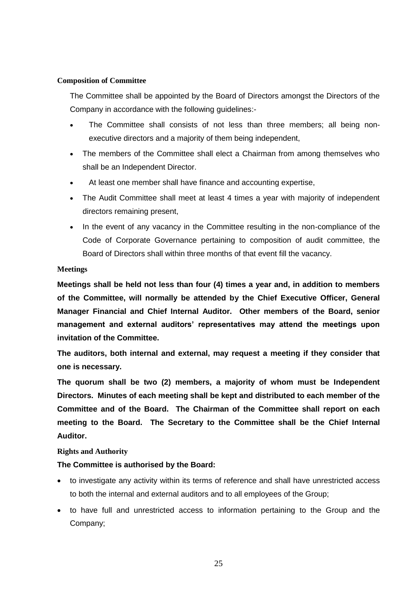#### **Composition of Committee**

The Committee shall be appointed by the Board of Directors amongst the Directors of the Company in accordance with the following guidelines:-

- The Committee shall consists of not less than three members; all being nonexecutive directors and a majority of them being independent,
- The members of the Committee shall elect a Chairman from among themselves who shall be an Independent Director.
- At least one member shall have finance and accounting expertise,
- The Audit Committee shall meet at least 4 times a year with majority of independent directors remaining present,
- In the event of any vacancy in the Committee resulting in the non-compliance of the Code of Corporate Governance pertaining to composition of audit committee, the Board of Directors shall within three months of that event fill the vacancy.

#### **Meetings**

**Meetings shall be held not less than four (4) times a year and, in addition to members of the Committee, will normally be attended by the Chief Executive Officer, General Manager Financial and Chief Internal Auditor. Other members of the Board, senior management and external auditors' representatives may attend the meetings upon invitation of the Committee.**

**The auditors, both internal and external, may request a meeting if they consider that one is necessary.**

**The quorum shall be two (2) members, a majority of whom must be Independent Directors. Minutes of each meeting shall be kept and distributed to each member of the Committee and of the Board. The Chairman of the Committee shall report on each meeting to the Board. The Secretary to the Committee shall be the Chief Internal Auditor.**

#### **Rights and Authority**

#### **The Committee is authorised by the Board:**

- to investigate any activity within its terms of reference and shall have unrestricted access to both the internal and external auditors and to all employees of the Group;
- to have full and unrestricted access to information pertaining to the Group and the Company;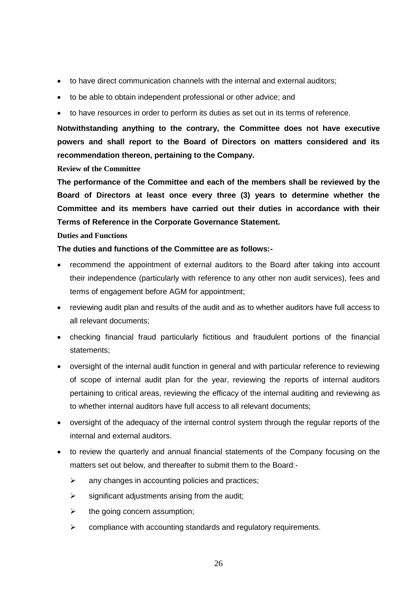- to have direct communication channels with the internal and external auditors;
- to be able to obtain independent professional or other advice; and
- to have resources in order to perform its duties as set out in its terms of reference.

**Notwithstanding anything to the contrary, the Committee does not have executive powers and shall report to the Board of Directors on matters considered and its recommendation thereon, pertaining to the Company.**

**Review of the Committee**

**The performance of the Committee and each of the members shall be reviewed by the Board of Directors at least once every three (3) years to determine whether the Committee and its members have carried out their duties in accordance with their Terms of Reference in the Corporate Governance Statement.**

#### **Duties and Functions**

**The duties and functions of the Committee are as follows:-**

- recommend the appointment of external auditors to the Board after taking into account their independence (particularly with reference to any other non audit services), fees and terms of engagement before AGM for appointment;
- reviewing audit plan and results of the audit and as to whether auditors have full access to all relevant documents;
- checking financial fraud particularly fictitious and fraudulent portions of the financial statements;
- oversight of the internal audit function in general and with particular reference to reviewing of scope of internal audit plan for the year, reviewing the reports of internal auditors pertaining to critical areas, reviewing the efficacy of the internal auditing and reviewing as to whether internal auditors have full access to all relevant documents;
- oversight of the adequacy of the internal control system through the regular reports of the internal and external auditors.
- to review the quarterly and annual financial statements of the Company focusing on the matters set out below, and thereafter to submit them to the Board:-
	- $\triangleright$  any changes in accounting policies and practices;
	- $\triangleright$  significant adjustments arising from the audit;
	- $\triangleright$  the going concern assumption;
	- $\triangleright$  compliance with accounting standards and regulatory requirements.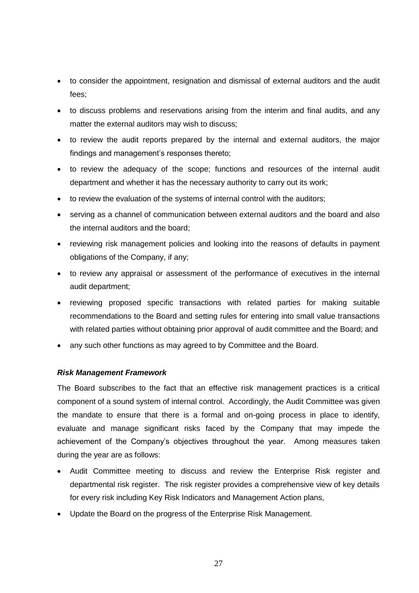- to consider the appointment, resignation and dismissal of external auditors and the audit fees;
- to discuss problems and reservations arising from the interim and final audits, and any matter the external auditors may wish to discuss;
- to review the audit reports prepared by the internal and external auditors, the major findings and management's responses thereto;
- to review the adequacy of the scope; functions and resources of the internal audit department and whether it has the necessary authority to carry out its work;
- to review the evaluation of the systems of internal control with the auditors;
- serving as a channel of communication between external auditors and the board and also the internal auditors and the board;
- reviewing risk management policies and looking into the reasons of defaults in payment obligations of the Company, if any;
- to review any appraisal or assessment of the performance of executives in the internal audit department;
- reviewing proposed specific transactions with related parties for making suitable recommendations to the Board and setting rules for entering into small value transactions with related parties without obtaining prior approval of audit committee and the Board; and
- any such other functions as may agreed to by Committee and the Board.

#### *Risk Management Framework*

The Board subscribes to the fact that an effective risk management practices is a critical component of a sound system of internal control. Accordingly, the Audit Committee was given the mandate to ensure that there is a formal and on-going process in place to identify, evaluate and manage significant risks faced by the Company that may impede the achievement of the Company's objectives throughout the year. Among measures taken during the year are as follows:

- Audit Committee meeting to discuss and review the Enterprise Risk register and departmental risk register. The risk register provides a comprehensive view of key details for every risk including Key Risk Indicators and Management Action plans,
- Update the Board on the progress of the Enterprise Risk Management.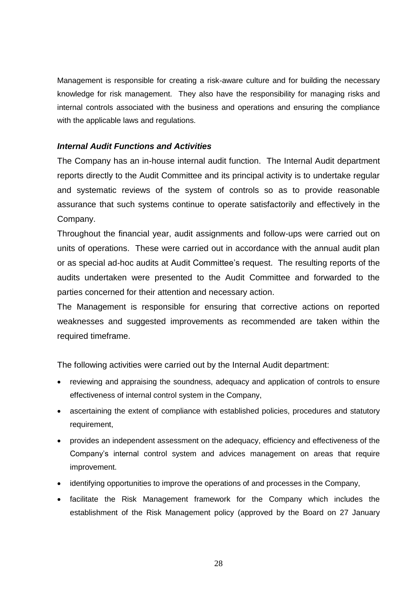Management is responsible for creating a risk-aware culture and for building the necessary knowledge for risk management. They also have the responsibility for managing risks and internal controls associated with the business and operations and ensuring the compliance with the applicable laws and regulations.

### *Internal Audit Functions and Activities*

The Company has an in-house internal audit function. The Internal Audit department reports directly to the Audit Committee and its principal activity is to undertake regular and systematic reviews of the system of controls so as to provide reasonable assurance that such systems continue to operate satisfactorily and effectively in the Company.

Throughout the financial year, audit assignments and follow-ups were carried out on units of operations. These were carried out in accordance with the annual audit plan or as special ad-hoc audits at Audit Committee's request. The resulting reports of the audits undertaken were presented to the Audit Committee and forwarded to the parties concerned for their attention and necessary action.

The Management is responsible for ensuring that corrective actions on reported weaknesses and suggested improvements as recommended are taken within the required timeframe.

The following activities were carried out by the Internal Audit department:

- reviewing and appraising the soundness, adequacy and application of controls to ensure effectiveness of internal control system in the Company,
- ascertaining the extent of compliance with established policies, procedures and statutory requirement,
- provides an independent assessment on the adequacy, efficiency and effectiveness of the Company's internal control system and advices management on areas that require improvement.
- identifying opportunities to improve the operations of and processes in the Company,
- facilitate the Risk Management framework for the Company which includes the establishment of the Risk Management policy (approved by the Board on 27 January